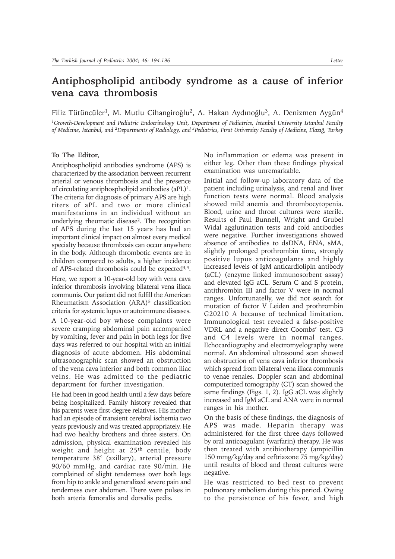## **Antiphospholipid antibody syndrome as a cause of inferior vena cava thrombosis**

Filiz Tütüncüler<sup>1</sup>, M. Mutlu Cihangiroğlu<sup>2</sup>, A. Hakan Aydınoğlu<sup>3</sup>, A. Denizmen Aygün<sup>4</sup>

<sup>1</sup>Growth-Development and Pediatric Endocrinology Unit, Department of Pediatrics, *İstanbul University İstanbul Faculty of Medicine, İstanbul, and <sup>2</sup>Departments of Radiology, and <sup>3</sup>Pediatrics, Firat University Faculty of Medicine, Elaziğ, Turkey* 

## **To The Editor,**

Antiphospholipid antibodies syndrome (APS) is characterized by the association between recurrent arterial or venous thrombosis and the presence of circulating antiphospholipid antibodies (aPL)1. The criteria for diagnosis of primary APS are high titers of aPL and two or more clinical manifestations in an individual without an underlying rheumatic disease2. The recognition of APS during the last 15 years has had an important clinical impact on almost every medical specialty because thrombosis can occur anywhere in the body. Although thrombotic events are in children compared to adults, a higher incidence of APS-related thrombosis could be expected<sup>3,4</sup>.

Here, we report a 10-year-old boy with vena cava inferior thrombosis involving bilateral vena iliaca communis. Our patient did not fulfill the American Rheumatism Association (ARA)<sup>5</sup> classification criteria for systemic lupus or autoimmune diseases.

A 10-year-old boy whose complaints were severe cramping abdominal pain accompanied by vomiting, fever and pain in both legs for five days was referred to our hospital with an initial diagnosis of acute abdomen. His abdominal ultrasonographic scan showed an obstruction of the vena cava inferior and both common iliac veins. He was admitted to the pediatric department for further investigation.

He had been in good health until a few days before being hospitalized. Family history revealed that his parents were first-degree relatives. His mother had an episode of transient cerebral ischemia two years previously and was treated appropriately. He had two healthy brothers and three sisters. On admission, physical examination revealed his weight and height at 25th centile, body temperature 38° (axillary), arterial pressure 90/60 mmHg, and cardiac rate 90/min. He complained of slight tenderness over both legs from hip to ankle and generalized severe pain and tenderness over abdomen. There were pulses in both arteria femoralis and dorsalis pedis.

No inflammation or edema was present in either leg. Other than these findings physical examination was unremarkable.

Initial and follow-up laboratory data of the patient including urinalysis, and renal and liver function tests were normal. Blood analysis showed mild anemia and thrombocytopenia. Blood, urine and throat cultures were sterile. Results of Paul Bunnell, Wright and Grubel Widal agglutination tests and cold antibodies were negative. Further investigations showed absence of antibodies to dsDNA, ENA, sMA, slightly prolonged prothrombin time, strongly positive lupus anticoagulants and highly increased levels of IgM anticardiolipin antibody (aCL) (enzyme linked immunosorbent assay) and elevated IgG aCL. Serum C and S protein, antithrombin III and factor V were in normal ranges. Unfortunatelly, we did not search for mutation of factor V Leiden and prothrombin G20210 A because of technical limitation. Immunological test revealed a false-positive VDRL and a negative direct Coombs' test. C3 and C4 levels were in normal ranges. Echocardiography and electromyelography were normal. An abdominal ultrasound scan showed an obstruction of vena cava inferior thrombosis which spread from bilateral vena iliaca communis to venae renales. Doppler scan and abdominal computerized tomography (CT) scan showed the same findings (Figs. 1, 2). IgG aCL was slightly increased and IgM aCL and ANA were in normal ranges in his mother.

On the basis of these findings, the diagnosis of APS was made. Heparin therapy was administered for the first three days followed by oral anticoagulant (warfarin) therapy. He was then treated with antibiotherapy (ampicillin 150 mmg/kg/day and ceftriaxone 75 mg/kg/day) until results of blood and throat cultures were negative.

He was restricted to bed rest to prevent pulmonary embolism during this period. Owing to the persistence of his fever, and high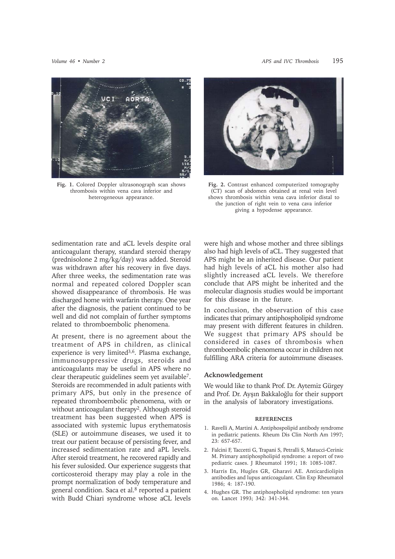

**Fig. 1.** Colored Doppler ultrasonograph scan shows thrombosis within vena cava inferior and heterogeneous appearance.



**Fig. 2.** Contrast enhanced computerized tomography (CT) scan of abdomen obtained at renal vein level shows thrombosis within vena cava inferior distal to the junction of right vein to vena cava inferior giving a hypodense appearance.

sedimentation rate and aCL levels despite oral anticoagulant therapy, standard steroid therapy (prednisolone 2 mg/kg/day) was added. Steroid was withdrawn after his recovery in five days. After three weeks, the sedimentation rate was normal and repeated colored Doppler scan showed disappearance of thrombosis. He was discharged home with warfarin therapy. One year after the diagnosis, the patient continued to be well and did not complain of further symptoms related to thromboembolic phenomena.

At present, there is no agreement about the treatment of APS in children, as clinical experience is very limited<sup>3,6</sup>. Plasma exchange, immunosuppressive drugs, steroids and anticoagulants may be useful in APS where no clear therapeutic guidelines seem yet available7. Steroids are recommended in adult patients with primary APS, but only in the presence of repeated thromboembolic phenomena, with or without anticoagulant therapy<sup>2</sup>. Although steroid treatment has been suggested when APS is associated with systemic lupus erythematosis (SLE) or autoimmune diseases, we used it to treat our patient because of persisting fever, and increased sedimentation rate and aPL levels. After steroid treatment, he recovered rapidly and his fever sulosided. Our experience suggests that corticosteroid therapy may play a role in the prompt normalization of body temperature and general condition. Saca et al.8 reported a patient with Budd Chiari syndrome whose aCL levels

were high and whose mother and three siblings also had high levels of aCL. They suggested that APS might be an inherited disease. Our patient had high levels of aCL his mother also had slightly increased aCL levels. We therefore conclude that APS might be inherited and the molecular diagnosis studies would be important for this disease in the future.

In conclusion, the observation of this case indicates that primary antiphospholipid syndrome may present with different features in children. We suggest that primary APS should be considered in cases of thrombosis when thromboembolic phenomena occur in children not fulfilling ARA criteria for autoimmune diseases.

## **Acknowledgement**

We would like to thank Prof. Dr. Aytemiz Gürgey and Prof. Dr. Ayşın Bakkaloğlu for their support in the analysis of laboratory investigations.

## **REFERENCES**

- 1. Ravelli A, Martini A. Antiphospolipid antibody syndrome in pediatric patients. Rheum Dis Clin North Am 1997; 23: 657-657.
- 2. Falcini F, Taccetti G, Trapani S, Petralli S, Matucci-Cerinic M. Primary antiphospholipid syndrome: a report of two pediatric cases. J Rheumatol 1991; 18: 1085-1087.
- 3. Harris En, Hugles GR, Gharavi AE. Anticardiolipin antibodies and lupus anticoagulant. Clin Exp Rheumatol 1986; 4: 187-190.
- 4. Hughes GR. The antiphospholipid syndrome: ten years on. Lancet 1993; 342: 341-344.